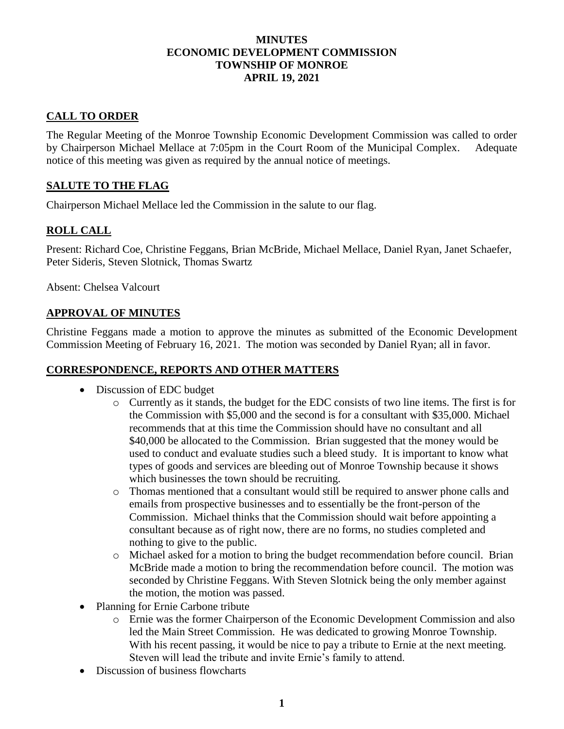#### **MINUTES ECONOMIC DEVELOPMENT COMMISSION TOWNSHIP OF MONROE APRIL 19, 2021**

# **CALL TO ORDER**

The Regular Meeting of the Monroe Township Economic Development Commission was called to order by Chairperson Michael Mellace at 7:05pm in the Court Room of the Municipal Complex. Adequate notice of this meeting was given as required by the annual notice of meetings.

## **SALUTE TO THE FLAG**

Chairperson Michael Mellace led the Commission in the salute to our flag.

## **ROLL CALL**

Present: Richard Coe, Christine Feggans, Brian McBride, Michael Mellace, Daniel Ryan, Janet Schaefer, Peter Sideris, Steven Slotnick, Thomas Swartz

Absent: Chelsea Valcourt

#### **APPROVAL OF MINUTES**

Christine Feggans made a motion to approve the minutes as submitted of the Economic Development Commission Meeting of February 16, 2021. The motion was seconded by Daniel Ryan; all in favor.

#### **CORRESPONDENCE, REPORTS AND OTHER MATTERS**

- Discussion of EDC budget
	- $\circ$  Currently as it stands, the budget for the EDC consists of two line items. The first is for the Commission with \$5,000 and the second is for a consultant with \$35,000. Michael recommends that at this time the Commission should have no consultant and all \$40,000 be allocated to the Commission. Brian suggested that the money would be used to conduct and evaluate studies such a bleed study. It is important to know what types of goods and services are bleeding out of Monroe Township because it shows which businesses the town should be recruiting.
	- o Thomas mentioned that a consultant would still be required to answer phone calls and emails from prospective businesses and to essentially be the front-person of the Commission. Michael thinks that the Commission should wait before appointing a consultant because as of right now, there are no forms, no studies completed and nothing to give to the public.
	- o Michael asked for a motion to bring the budget recommendation before council. Brian McBride made a motion to bring the recommendation before council. The motion was seconded by Christine Feggans. With Steven Slotnick being the only member against the motion, the motion was passed.
- Planning for Ernie Carbone tribute
	- o Ernie was the former Chairperson of the Economic Development Commission and also led the Main Street Commission. He was dedicated to growing Monroe Township. With his recent passing, it would be nice to pay a tribute to Ernie at the next meeting. Steven will lead the tribute and invite Ernie's family to attend.
- Discussion of business flowcharts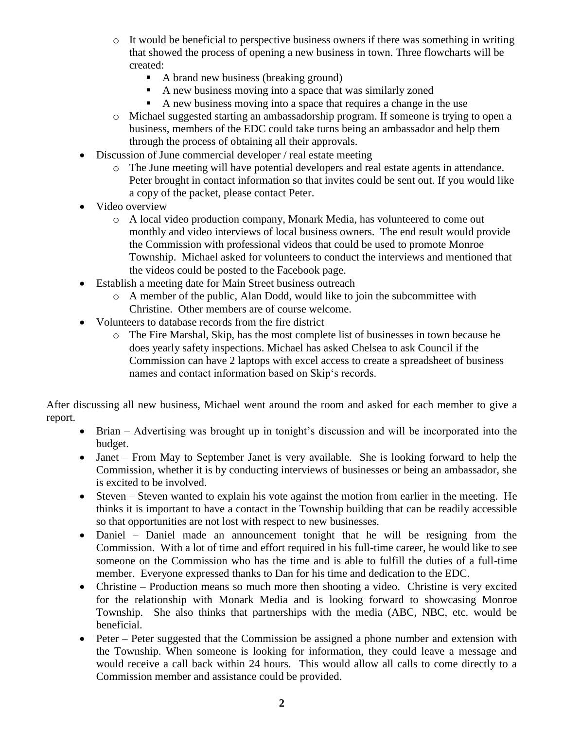- $\circ$  It would be beneficial to perspective business owners if there was something in writing that showed the process of opening a new business in town. Three flowcharts will be created:
	- A brand new business (breaking ground)
	- A new business moving into a space that was similarly zoned
	- A new business moving into a space that requires a change in the use
- o Michael suggested starting an ambassadorship program. If someone is trying to open a business, members of the EDC could take turns being an ambassador and help them through the process of obtaining all their approvals.
- Discussion of June commercial developer / real estate meeting
	- o The June meeting will have potential developers and real estate agents in attendance. Peter brought in contact information so that invites could be sent out. If you would like a copy of the packet, please contact Peter.
- Video overview
	- o A local video production company, Monark Media, has volunteered to come out monthly and video interviews of local business owners. The end result would provide the Commission with professional videos that could be used to promote Monroe Township. Michael asked for volunteers to conduct the interviews and mentioned that the videos could be posted to the Facebook page.
- Establish a meeting date for Main Street business outreach
	- o A member of the public, Alan Dodd, would like to join the subcommittee with Christine. Other members are of course welcome.
- Volunteers to database records from the fire district
	- o The Fire Marshal, Skip, has the most complete list of businesses in town because he does yearly safety inspections. Michael has asked Chelsea to ask Council if the Commission can have 2 laptops with excel access to create a spreadsheet of business names and contact information based on Skip's records.

After discussing all new business, Michael went around the room and asked for each member to give a report.

- Brian Advertising was brought up in tonight's discussion and will be incorporated into the budget.
- Janet From May to September Janet is very available. She is looking forward to help the Commission, whether it is by conducting interviews of businesses or being an ambassador, she is excited to be involved.
- Steven Steven wanted to explain his vote against the motion from earlier in the meeting. He thinks it is important to have a contact in the Township building that can be readily accessible so that opportunities are not lost with respect to new businesses.
- Daniel Daniel made an announcement tonight that he will be resigning from the Commission. With a lot of time and effort required in his full-time career, he would like to see someone on the Commission who has the time and is able to fulfill the duties of a full-time member. Everyone expressed thanks to Dan for his time and dedication to the EDC.
- Christine Production means so much more then shooting a video. Christine is very excited for the relationship with Monark Media and is looking forward to showcasing Monroe Township. She also thinks that partnerships with the media (ABC, NBC, etc. would be beneficial.
- Peter Peter suggested that the Commission be assigned a phone number and extension with the Township. When someone is looking for information, they could leave a message and would receive a call back within 24 hours. This would allow all calls to come directly to a Commission member and assistance could be provided.